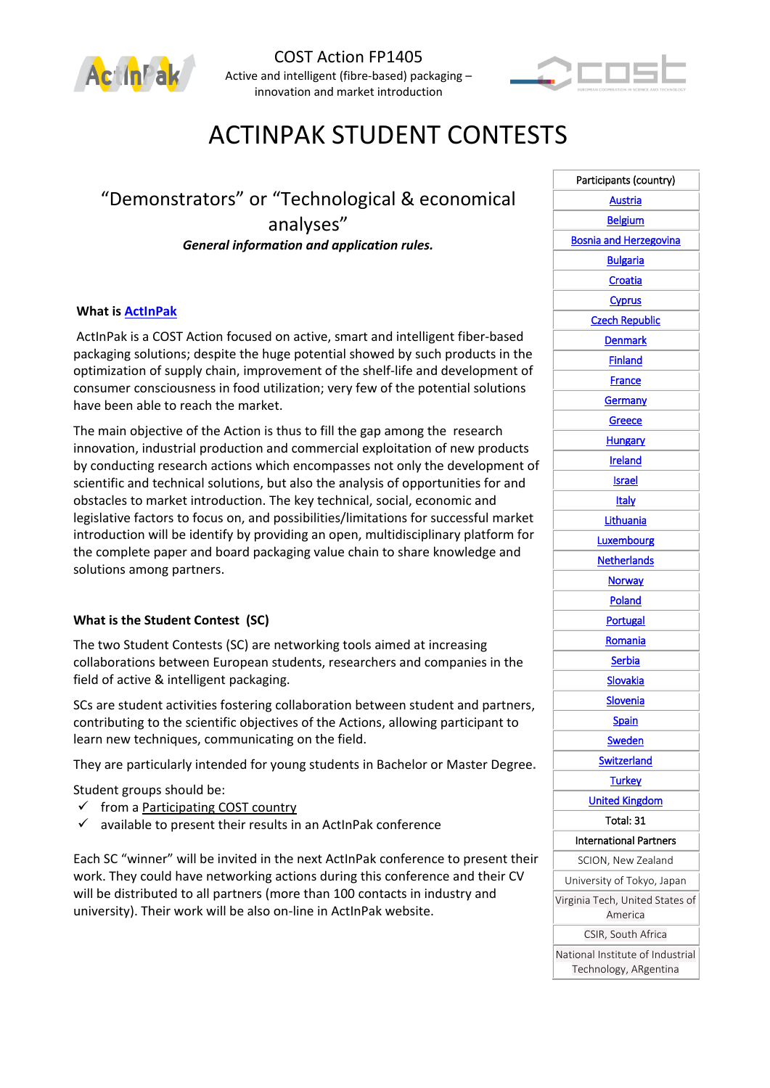



# ACTINPAK STUDENT CONTESTS

## "Demonstrators" or "Technological & economical analyses" *General information and application rules.*

### **What is [ActInPak](http://www.actinpak.eu/)**

ActInPak is a COST Action focused on active, smart and intelligent fiber-based packaging solutions; despite the huge potential showed by such products in the optimization of supply chain, improvement of the shelf-life and development of consumer consciousness in food utilization; very few of the potential solutions have been able to reach the market.

The main objective of the Action is thus to fill the gap among the research innovation, industrial production and commercial exploitation of new products by conducting research actions which encompasses not only the development of scientific and technical solutions, but also the analysis of opportunities for and obstacles to market introduction. The key technical, social, economic and legislative factors to focus on, and possibilities/limitations for successful market introduction will be identify by providing an open, multidisciplinary platform for the complete paper and board packaging value chain to share knowledge and solutions among partners.

#### **What is the Student Contest (SC)**

The two Student Contests (SC) are networking tools aimed at increasing collaborations between European students, researchers and companies in the field of active & intelligent packaging.

SCs are student activities fostering collaboration between student and partners, contributing to the scientific objectives of the Actions, allowing participant to learn new techniques, communicating on the field.

They are particularly intended for young students in Bachelor or Master Degree**.** 

Student groups should be:

- $\checkmark$  from a [Participating COST country](http://www.cost.eu/COST_Actions/fps/Actions/FP1405?parties)
- $\checkmark$  available to present their results in an ActInPak conference

Each SC "winner" will be invited in the next ActInPak conference to present their work. They could have networking actions during this conference and their CV will be distributed to all partners (more than 100 contacts in industry and university). Their work will be also on-line in ActInPak website.

| Participants (country)                     |  |  |  |  |
|--------------------------------------------|--|--|--|--|
| Austria                                    |  |  |  |  |
| <b>Belgium</b>                             |  |  |  |  |
| <b>Bosnia and Herzegovina</b>              |  |  |  |  |
| <b>Bulgaria</b>                            |  |  |  |  |
| Croatia                                    |  |  |  |  |
| Cyprus                                     |  |  |  |  |
| <b>Czech Republic</b>                      |  |  |  |  |
| <b>Denmark</b>                             |  |  |  |  |
| <b>Finland</b>                             |  |  |  |  |
| France                                     |  |  |  |  |
| <b>Germany</b>                             |  |  |  |  |
| Greece                                     |  |  |  |  |
| <b>Hungary</b>                             |  |  |  |  |
| <b>Ireland</b>                             |  |  |  |  |
| <b>Israel</b>                              |  |  |  |  |
| Italy                                      |  |  |  |  |
| Lithuania                                  |  |  |  |  |
| Luxembourg                                 |  |  |  |  |
| <b>Netherlands</b>                         |  |  |  |  |
| <b>Norway</b>                              |  |  |  |  |
| Poland                                     |  |  |  |  |
| <b>Portugal</b>                            |  |  |  |  |
| Romania                                    |  |  |  |  |
| Serbia                                     |  |  |  |  |
| Slovakia                                   |  |  |  |  |
| <b>Slovenia</b>                            |  |  |  |  |
| <b>Spain</b>                               |  |  |  |  |
| <u>Sweden</u>                              |  |  |  |  |
| <b>Switzerland</b>                         |  |  |  |  |
| <b>Turkey</b>                              |  |  |  |  |
| <b>United Kingdom</b>                      |  |  |  |  |
| Total: 31                                  |  |  |  |  |
| International Partners                     |  |  |  |  |
| SCION, New Zealand                         |  |  |  |  |
| University of Tokyo, Japan                 |  |  |  |  |
| Virginia Tech, United States of<br>America |  |  |  |  |
| CSIR, South Africa                         |  |  |  |  |
| National Institute of Industrial           |  |  |  |  |
| Technology, ARgentina                      |  |  |  |  |